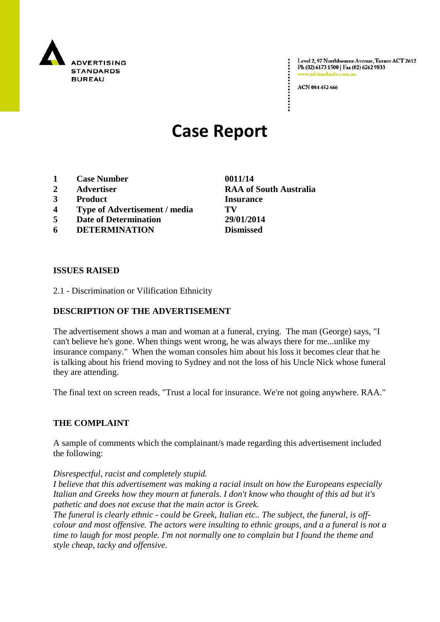

Level 2, 97 Northbourne Avenue, Turner ACT 2612 Ph (02) 6173 1500 | Fax (02) 6262 9833 www.adstandards.com.a

ACN 084 452 666

# **Case Report**

- **1 Case Number 0011/14**
- **2 Advertiser RAA of South Australia**
- **3 Product Insurance**
- **4 Type of Advertisement / media TV**
- **5 Date of Determination 29/01/2014**
- **6 DETERMINATION Dismissed**

#### **ISSUES RAISED**

2.1 - Discrimination or Vilification Ethnicity

## **DESCRIPTION OF THE ADVERTISEMENT**

The advertisement shows a man and woman at a funeral, crying. The man (George) says, "I can't believe he's gone. When things went wrong, he was always there for me...unlike my insurance company." When the woman consoles him about his loss it becomes clear that he is talking about his friend moving to Sydney and not the loss of his Uncle Nick whose funeral they are attending.

The final text on screen reads, "Trust a local for insurance. We're not going anywhere. RAA."

## **THE COMPLAINT**

A sample of comments which the complainant/s made regarding this advertisement included the following:

#### *Disrespectful, racist and completely stupid.*

*I believe that this advertisement was making a racial insult on how the Europeans especially Italian and Greeks how they mourn at funerals. I don't know who thought of this ad but it's pathetic and does not excuse that the main actor is Greek.*

*The funeral is clearly ethnic - could be Greek, Italian etc.. The subject, the funeral, is offcolour and most offensive. The actors were insulting to ethnic groups, and a a funeral is not a time to laugh for most people. I'm not normally one to complain but I found the theme and style cheap, tacky and offensive.*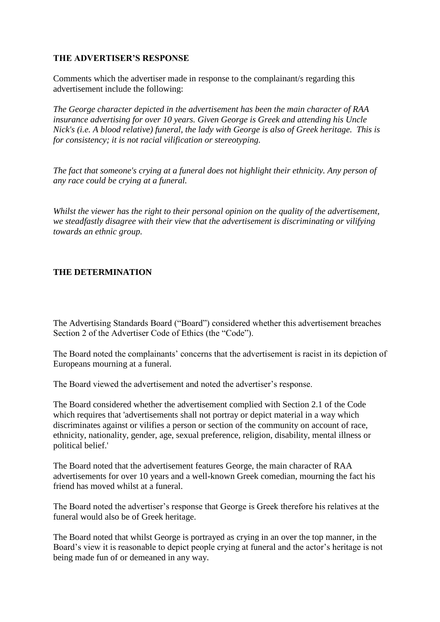## **THE ADVERTISER'S RESPONSE**

Comments which the advertiser made in response to the complainant/s regarding this advertisement include the following:

*The George character depicted in the advertisement has been the main character of RAA insurance advertising for over 10 years. Given George is Greek and attending his Uncle Nick's (i.e. A blood relative) funeral, the lady with George is also of Greek heritage. This is for consistency; it is not racial vilification or stereotyping.*

*The fact that someone's crying at a funeral does not highlight their ethnicity. Any person of any race could be crying at a funeral.*

*Whilst the viewer has the right to their personal opinion on the quality of the advertisement, we steadfastly disagree with their view that the advertisement is discriminating or vilifying towards an ethnic group.* 

## **THE DETERMINATION**

The Advertising Standards Board ("Board") considered whether this advertisement breaches Section 2 of the Advertiser Code of Ethics (the "Code").

The Board noted the complainants' concerns that the advertisement is racist in its depiction of Europeans mourning at a funeral.

The Board viewed the advertisement and noted the advertiser's response.

The Board considered whether the advertisement complied with Section 2.1 of the Code which requires that 'advertisements shall not portray or depict material in a way which discriminates against or vilifies a person or section of the community on account of race, ethnicity, nationality, gender, age, sexual preference, religion, disability, mental illness or political belief.'

The Board noted that the advertisement features George, the main character of RAA advertisements for over 10 years and a well-known Greek comedian, mourning the fact his friend has moved whilst at a funeral.

The Board noted the advertiser's response that George is Greek therefore his relatives at the funeral would also be of Greek heritage.

The Board noted that whilst George is portrayed as crying in an over the top manner, in the Board's view it is reasonable to depict people crying at funeral and the actor's heritage is not being made fun of or demeaned in any way.